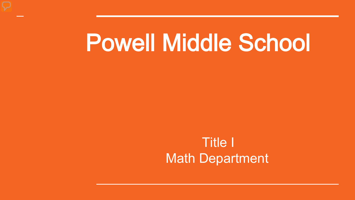# Powell Middle School

### Title I Math Department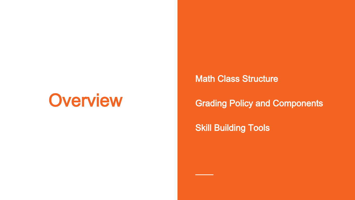# **Overview**

Math Class Structure

#### Grading Policy and Components

**Skill Building Tools**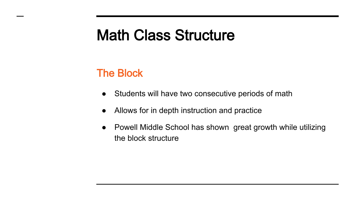# Math Class Structure

#### The Block

- Students will have two consecutive periods of math
- Allows for in depth instruction and practice
- Powell Middle School has shown great growth while utilizing the block structure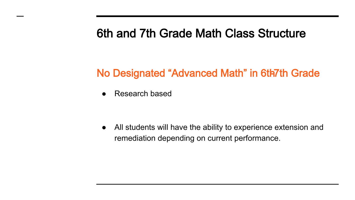### 6th and 7th Grade Math Class Structure

#### No Designated "Advanced Math" in 6th7th Grade

**Research based** 

● All students will have the ability to experience extension and remediation depending on current performance.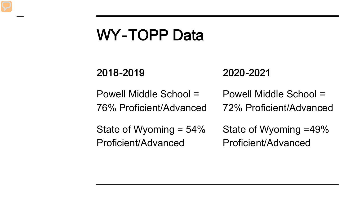# WY-TOPP Data

#### 2018-2019 2020-2021

Powell Middle School = 76% Proficient/Advanced Powell Middle School = 72% Proficient/Advanced

State of Wyoming = 54% Proficient/Advanced

State of Wyoming = 49% Proficient/Advanced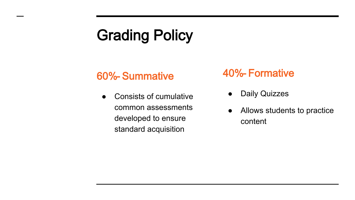# Grading Policy

#### 60%- Summative

Consists of cumulative common assessments developed to ensure standard acquisition

#### 40%- Formative

- **Daily Quizzes**
- Allows students to practice content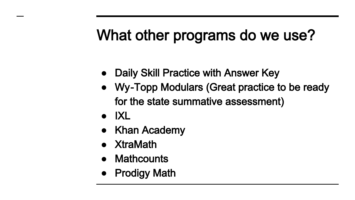# What other programs do we use?

- Daily Skill Practice with Answer Key
- Wy-Topp Modulars (Great practice to be ready for the state summative assessment)
- IXL
- **Khan Academy**
- XtraMath
- **Mathcounts**
- Prodigy Math